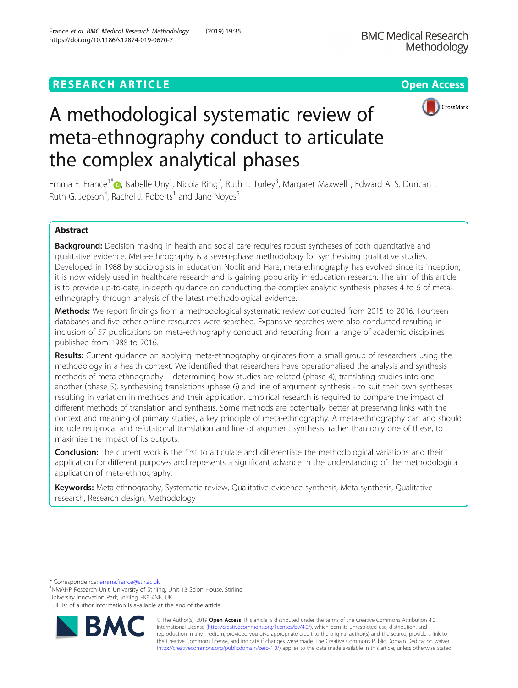## **RESEARCH ARTICLE Example 2014 12:30 The Contract of Contract ACCESS**



# A methodological systematic review of meta-ethnography conduct to articulate the complex analytical phases

Emma F. France<sup>1[\\*](http://orcid.org/0000-0003-0876-7030)</sup> D, Isabelle Uny<sup>1</sup>, Nicola Ring<sup>2</sup>, Ruth L. Turley<sup>3</sup>, Margaret Maxwell<sup>1</sup>, Edward A. S. Duncan<sup>1</sup> , Ruth G. Jepson<sup>4</sup>, Rachel J. Roberts<sup>1</sup> and Jane Noyes<sup>5</sup>

## Abstract

Background: Decision making in health and social care requires robust syntheses of both quantitative and qualitative evidence. Meta-ethnography is a seven-phase methodology for synthesising qualitative studies. Developed in 1988 by sociologists in education Noblit and Hare, meta-ethnography has evolved since its inception; it is now widely used in healthcare research and is gaining popularity in education research. The aim of this article is to provide up-to-date, in-depth guidance on conducting the complex analytic synthesis phases 4 to 6 of metaethnography through analysis of the latest methodological evidence.

**Methods:** We report findings from a methodological systematic review conducted from 2015 to 2016. Fourteen databases and five other online resources were searched. Expansive searches were also conducted resulting in inclusion of 57 publications on meta-ethnography conduct and reporting from a range of academic disciplines published from 1988 to 2016.

Results: Current guidance on applying meta-ethnography originates from a small group of researchers using the methodology in a health context. We identified that researchers have operationalised the analysis and synthesis methods of meta-ethnography – determining how studies are related (phase 4), translating studies into one another (phase 5), synthesising translations (phase 6) and line of argument synthesis - to suit their own syntheses resulting in variation in methods and their application. Empirical research is required to compare the impact of different methods of translation and synthesis. Some methods are potentially better at preserving links with the context and meaning of primary studies, a key principle of meta-ethnography. A meta-ethnography can and should include reciprocal and refutational translation and line of argument synthesis, rather than only one of these, to maximise the impact of its outputs.

Conclusion: The current work is the first to articulate and differentiate the methodological variations and their application for different purposes and represents a significant advance in the understanding of the methodological application of meta-ethnography.

Keywords: Meta-ethnography, Systematic review, Qualitative evidence synthesis, Meta-synthesis, Qualitative research, Research design, Methodology

\* Correspondence: [emma.france@stir.ac.uk](mailto:emma.france@stir.ac.uk) <sup>1</sup>

<sup>1</sup>NMAHP Research Unit, University of Stirling, Unit 13 Scion House, Stirling University Innovation Park, Stirling FK9 4NF, UK

Full list of author information is available at the end of the article



© The Author(s). 2019 **Open Access** This article is distributed under the terms of the Creative Commons Attribution 4.0 International License [\(http://creativecommons.org/licenses/by/4.0/](http://creativecommons.org/licenses/by/4.0/)), which permits unrestricted use, distribution, and reproduction in any medium, provided you give appropriate credit to the original author(s) and the source, provide a link to the Creative Commons license, and indicate if changes were made. The Creative Commons Public Domain Dedication waiver [\(http://creativecommons.org/publicdomain/zero/1.0/](http://creativecommons.org/publicdomain/zero/1.0/)) applies to the data made available in this article, unless otherwise stated.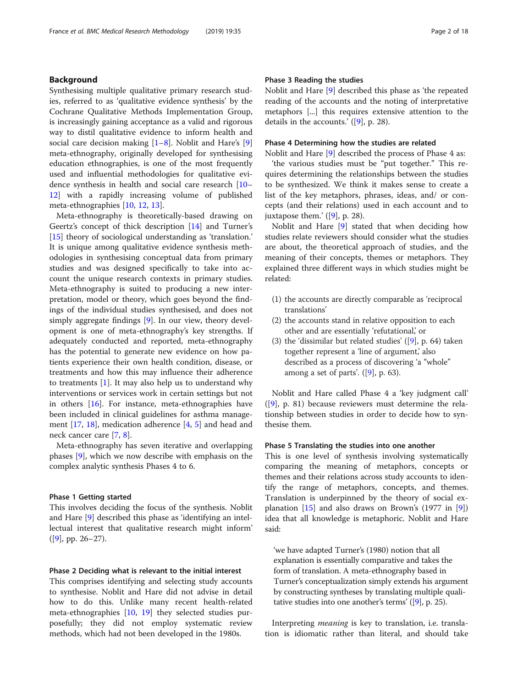## Background

Synthesising multiple qualitative primary research studies, referred to as 'qualitative evidence synthesis' by the Cochrane Qualitative Methods Implementation Group, is increasingly gaining acceptance as a valid and rigorous way to distil qualitative evidence to inform health and social care decision making  $[1-8]$  $[1-8]$  $[1-8]$  $[1-8]$  $[1-8]$ . Noblit and Hare's  $[9]$  $[9]$ meta-ethnography, originally developed for synthesising education ethnographies, is one of the most frequently used and influential methodologies for qualitative evidence synthesis in health and social care research [[10](#page-16-0)– [12\]](#page-16-0) with a rapidly increasing volume of published meta-ethnographies [[10,](#page-16-0) [12,](#page-16-0) [13\]](#page-16-0).

Meta-ethnography is theoretically-based drawing on Geertz's concept of thick description [[14](#page-16-0)] and Turner's [[15\]](#page-16-0) theory of sociological understanding as 'translation.' It is unique among qualitative evidence synthesis methodologies in synthesising conceptual data from primary studies and was designed specifically to take into account the unique research contexts in primary studies. Meta-ethnography is suited to producing a new interpretation, model or theory, which goes beyond the findings of the individual studies synthesised, and does not simply aggregate findings [\[9](#page-16-0)]. In our view, theory development is one of meta-ethnography's key strengths. If adequately conducted and reported, meta-ethnography has the potential to generate new evidence on how patients experience their own health condition, disease, or treatments and how this may influence their adherence to treatments  $[1]$  $[1]$ . It may also help us to understand why interventions or services work in certain settings but not in others [\[16](#page-16-0)]. For instance, meta-ethnographies have been included in clinical guidelines for asthma management [\[17,](#page-16-0) [18\]](#page-16-0), medication adherence [[4,](#page-16-0) [5\]](#page-16-0) and head and neck cancer care [\[7](#page-16-0), [8](#page-16-0)].

Meta-ethnography has seven iterative and overlapping phases [[9\]](#page-16-0), which we now describe with emphasis on the complex analytic synthesis Phases 4 to 6.

#### Phase 1 Getting started

This involves deciding the focus of the synthesis. Noblit and Hare [[9\]](#page-16-0) described this phase as 'identifying an intellectual interest that qualitative research might inform' ([\[9\]](#page-16-0), pp. 26–27).

#### Phase 2 Deciding what is relevant to the initial interest

This comprises identifying and selecting study accounts to synthesise. Noblit and Hare did not advise in detail how to do this. Unlike many recent health-related meta-ethnographies [[10,](#page-16-0) [19\]](#page-16-0) they selected studies purposefully; they did not employ systematic review methods, which had not been developed in the 1980s.

## Phase 3 Reading the studies

Noblit and Hare [[9\]](#page-16-0) described this phase as 'the repeated reading of the accounts and the noting of interpretative metaphors [...] this requires extensive attention to the details in the accounts.' ([[9\]](#page-16-0), p. 28).

## Phase 4 Determining how the studies are related

Noblit and Hare [[9\]](#page-16-0) described the process of Phase 4 as:

'the various studies must be "put together." This requires determining the relationships between the studies to be synthesized. We think it makes sense to create a list of the key metaphors, phrases, ideas, and/ or concepts (and their relations) used in each account and to juxtapose them.'  $([9]$  $([9]$ , p. 28).

Noblit and Hare [[9\]](#page-16-0) stated that when deciding how studies relate reviewers should consider what the studies are about, the theoretical approach of studies, and the meaning of their concepts, themes or metaphors. They explained three different ways in which studies might be related:

- (1) the accounts are directly comparable as 'reciprocal translations'
- (2) the accounts stand in relative opposition to each other and are essentially 'refutational,' or
- (3) the 'dissimilar but related studies'  $([9]$  $([9]$  $([9]$ , p. 64) taken together represent a 'line of argument,' also described as a process of discovering 'a "whole" among a set of parts'.  $([9]$  $([9]$ , p. 63).

Noblit and Hare called Phase 4 a 'key judgment call' ([\[9\]](#page-16-0), p. 81) because reviewers must determine the relationship between studies in order to decide how to synthesise them.

## Phase 5 Translating the studies into one another

This is one level of synthesis involving systematically comparing the meaning of metaphors, concepts or themes and their relations across study accounts to identify the range of metaphors, concepts, and themes. Translation is underpinned by the theory of social explanation  $[15]$  $[15]$  and also draws on Brown's  $(1977 \text{ in } [9])$  $(1977 \text{ in } [9])$  $(1977 \text{ in } [9])$ idea that all knowledge is metaphoric. Noblit and Hare said:

'we have adapted Turner's (1980) notion that all explanation is essentially comparative and takes the form of translation. A meta-ethnography based in Turner's conceptualization simply extends his argument by constructing syntheses by translating multiple qualitative studies into one another's terms' ([\[9\]](#page-16-0), p. 25).

Interpreting meaning is key to translation, i.e. translation is idiomatic rather than literal, and should take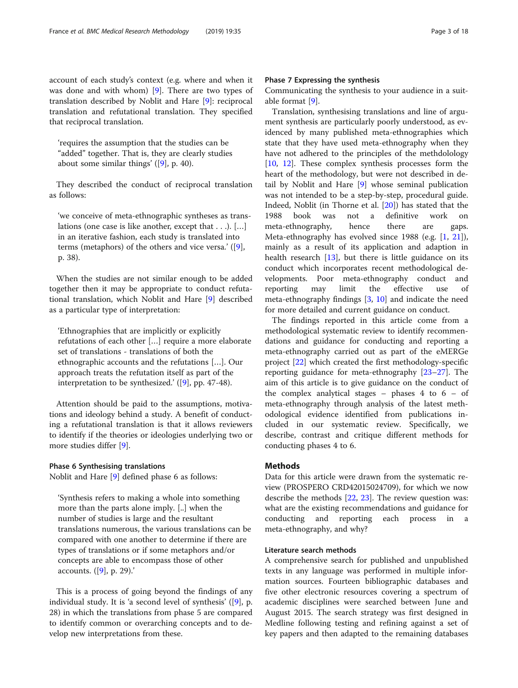account of each study's context (e.g. where and when it was done and with whom) [\[9](#page-16-0)]. There are two types of translation described by Noblit and Hare [[9\]](#page-16-0): reciprocal translation and refutational translation. They specified that reciprocal translation.

'requires the assumption that the studies can be "added" together. That is, they are clearly studies about some similar things' ([\[9](#page-16-0)], p. 40).

They described the conduct of reciprocal translation as follows:

'we conceive of meta-ethnographic syntheses as translations (one case is like another, except that . . .). […] in an iterative fashion, each study is translated into terms (metaphors) of the others and vice versa.' ([[9](#page-16-0)], p. 38).

When the studies are not similar enough to be added together then it may be appropriate to conduct refutational translation, which Noblit and Hare [[9](#page-16-0)] described as a particular type of interpretation:

'Ethnographies that are implicitly or explicitly refutations of each other […] require a more elaborate set of translations - translations of both the ethnographic accounts and the refutations […]. Our approach treats the refutation itself as part of the interpretation to be synthesized.' ([[9\]](#page-16-0), pp. 47-48).

Attention should be paid to the assumptions, motivations and ideology behind a study. A benefit of conducting a refutational translation is that it allows reviewers to identify if the theories or ideologies underlying two or more studies differ [[9\]](#page-16-0).

## Phase 6 Synthesising translations

Noblit and Hare [[9\]](#page-16-0) defined phase 6 as follows:

'Synthesis refers to making a whole into something more than the parts alone imply. [..] when the number of studies is large and the resultant translations numerous, the various translations can be compared with one another to determine if there are types of translations or if some metaphors and/or concepts are able to encompass those of other accounts. ([\[9](#page-16-0)], p. 29).'

This is a process of going beyond the findings of any individual study. It is 'a second level of synthesis' ([[9\]](#page-16-0), p. 28) in which the translations from phase 5 are compared to identify common or overarching concepts and to develop new interpretations from these.

## Phase 7 Expressing the synthesis

Communicating the synthesis to your audience in a suitable format [[9\]](#page-16-0).

Translation, synthesising translations and line of argument synthesis are particularly poorly understood, as evidenced by many published meta-ethnographies which state that they have used meta-ethnography when they have not adhered to the principles of the methdolology [[10,](#page-16-0) [12\]](#page-16-0). These complex synthesis processes form the heart of the methodology, but were not described in detail by Noblit and Hare [\[9](#page-16-0)] whose seminal publication was not intended to be a step-by-step, procedural guide. Indeed, Noblit (in Thorne et al. [\[20](#page-16-0)]) has stated that the 1988 book was not a definitive work on meta-ethnography, hence there are gaps. Meta-ethnography has evolved since 1988 (e.g. [\[1](#page-16-0), [21](#page-16-0)]), mainly as a result of its application and adaption in health research [\[13\]](#page-16-0), but there is little guidance on its conduct which incorporates recent methodological developments. Poor meta-ethnography conduct and reporting may limit the effective use of meta-ethnography findings [\[3,](#page-16-0) [10](#page-16-0)] and indicate the need for more detailed and current guidance on conduct.

The findings reported in this article come from a methodological systematic review to identify recommendations and guidance for conducting and reporting a meta-ethnography carried out as part of the eMERGe project [[22](#page-16-0)] which created the first methodology-specific reporting guidance for meta-ethnography [[23](#page-16-0)–[27\]](#page-16-0). The aim of this article is to give guidance on the conduct of the complex analytical stages  $-$  phases  $4$  to  $6 -$  of meta-ethnography through analysis of the latest methodological evidence identified from publications included in our systematic review. Specifically, we describe, contrast and critique different methods for conducting phases 4 to 6.

## Methods

Data for this article were drawn from the systematic review (PROSPERO CRD42015024709), for which we now describe the methods [[22](#page-16-0), [23\]](#page-16-0). The review question was: what are the existing recommendations and guidance for conducting and reporting each process in a meta-ethnography, and why?

## Literature search methods

A comprehensive search for published and unpublished texts in any language was performed in multiple information sources. Fourteen bibliographic databases and five other electronic resources covering a spectrum of academic disciplines were searched between June and August 2015. The search strategy was first designed in Medline following testing and refining against a set of key papers and then adapted to the remaining databases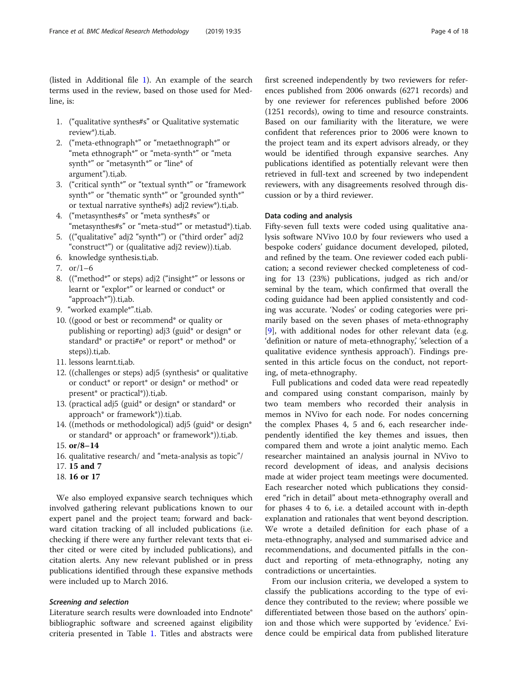(listed in Additional file [1\)](#page-15-0). An example of the search terms used in the review, based on those used for Medline, is:

- 1. ("qualitative synthes#s" or Qualitative systematic review\*).ti,ab.
- 2. ("meta-ethnograph\*" or "metaethnograph\*" or "meta ethnograph\*" or "meta-synth\*" or "meta synth\*" or "metasynth\*" or "line\* of argument").ti,ab.
- 3. ("critical synth\*" or "textual synth\*" or "framework synth\*" or "thematic synth\*" or "grounded synth\*" or textual narrative synthe#s) adj2 review\*).ti,ab.
- 4. ("metasynthes#s" or "meta synthes#s" or "metasynthes#s" or "meta-stud\*" or metastud\*).ti,ab.
- 5. (("qualitative" adj2 "synth\*") or ("third order" adj2 "construct\*") or (qualitative adj2 review)).ti,ab.
- 6. knowledge synthesis.ti,ab.
- 7. or/1–6
- 8. (("method\*" or steps) adj2 ("insight\*" or lessons or learnt or "explor\*" or learned or conduct\* or "approach\*")).ti,ab.
- 9. "worked example\*".ti,ab.
- 10. ((good or best or recommend\* or quality or publishing or reporting) adj3 (guid\* or design\* or standard\* or practi#e\* or report\* or method\* or steps)).ti,ab.
- 11. lessons learnt.ti,ab.
- 12. ((challenges or steps) adj5 (synthesis\* or qualitative or conduct\* or report\* or design\* or method\* or present\* or practical\*)).ti,ab.
- 13. (practical adj5 (guid\* or design\* or standard\* or approach\* or framework\*)).ti,ab.
- 14. ((methods or methodological) adj5 (guid\* or design\* or standard\* or approach\* or framework\*)).ti,ab.
- 15. or/8–14
- 16. qualitative research/ and "meta-analysis as topic"/
- 17. 15 and 7
- 18. 16 or 17

We also employed expansive search techniques which involved gathering relevant publications known to our expert panel and the project team; forward and backward citation tracking of all included publications (i.e. checking if there were any further relevant texts that either cited or were cited by included publications), and citation alerts. Any new relevant published or in press publications identified through these expansive methods were included up to March 2016.

## Screening and selection

Literature search results were downloaded into Endnote® bibliographic software and screened against eligibility criteria presented in Table [1.](#page-4-0) Titles and abstracts were

first screened independently by two reviewers for references published from 2006 onwards (6271 records) and by one reviewer for references published before 2006 (1251 records), owing to time and resource constraints. Based on our familiarity with the literature, we were confident that references prior to 2006 were known to the project team and its expert advisors already, or they would be identified through expansive searches. Any publications identified as potentially relevant were then retrieved in full-text and screened by two independent reviewers, with any disagreements resolved through discussion or by a third reviewer.

## Data coding and analysis

Fifty-seven full texts were coded using qualitative analysis software NVivo 10.0 by four reviewers who used a bespoke coders' guidance document developed, piloted, and refined by the team. One reviewer coded each publication; a second reviewer checked completeness of coding for 13 (23%) publications, judged as rich and/or seminal by the team, which confirmed that overall the coding guidance had been applied consistently and coding was accurate. 'Nodes' or coding categories were primarily based on the seven phases of meta-ethnography [[9\]](#page-16-0), with additional nodes for other relevant data (e.g. 'definition or nature of meta-ethnography,' 'selection of a qualitative evidence synthesis approach'). Findings presented in this article focus on the conduct, not reporting, of meta-ethnography.

Full publications and coded data were read repeatedly and compared using constant comparison, mainly by two team members who recorded their analysis in memos in NVivo for each node. For nodes concerning the complex Phases 4, 5 and 6, each researcher independently identified the key themes and issues, then compared them and wrote a joint analytic memo. Each researcher maintained an analysis journal in NVivo to record development of ideas, and analysis decisions made at wider project team meetings were documented. Each researcher noted which publications they considered "rich in detail" about meta-ethnography overall and for phases 4 to 6, i.e. a detailed account with in-depth explanation and rationales that went beyond description. We wrote a detailed definition for each phase of a meta-ethnography, analysed and summarised advice and recommendations, and documented pitfalls in the conduct and reporting of meta-ethnography, noting any contradictions or uncertainties.

From our inclusion criteria, we developed a system to classify the publications according to the type of evidence they contributed to the review; where possible we differentiated between those based on the authors' opinion and those which were supported by 'evidence.' Evidence could be empirical data from published literature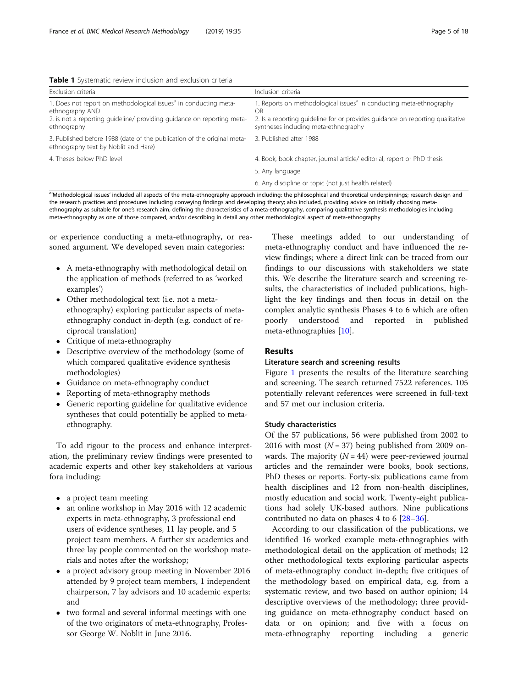<span id="page-4-0"></span>Table 1 Systematic review inclusion and exclusion criteria

| Exclusion criteria                                                                                                                                                                       | Inclusion criteria                                                                                                                                                                                             |
|------------------------------------------------------------------------------------------------------------------------------------------------------------------------------------------|----------------------------------------------------------------------------------------------------------------------------------------------------------------------------------------------------------------|
| 1. Does not report on methodological issues <sup>a</sup> in conducting meta-<br>ethnography AND<br>2. is not a reporting guideline/ providing guidance on reporting meta-<br>ethnography | 1. Reports on methodological issues <sup>a</sup> in conducting meta-ethnography<br>ΩR<br>2. Is a reporting quideline for or provides quidance on reporting qualitative<br>syntheses including meta-ethnography |
| 3. Published before 1988 (date of the publication of the original meta-<br>ethnography text by Noblit and Hare)                                                                          | 3. Published after 1988                                                                                                                                                                                        |
| 4. Theses below PhD level                                                                                                                                                                | 4. Book, book chapter, journal article/ editorial, report or PhD thesis                                                                                                                                        |
|                                                                                                                                                                                          | 5. Any language                                                                                                                                                                                                |
|                                                                                                                                                                                          | 6. Any discipline or topic (not just health related)                                                                                                                                                           |

'Methodological issues' included all aspects of the meta-ethnography approach including: the philosophical and theoretical underpinnings; research design and the research practices and procedures including conveying findings and developing theory; also included, providing advice on initially choosing metaethnography as suitable for one's research aim, defining the characteristics of a meta-ethnography, comparing qualitative synthesis methodologies including meta-ethnography as one of those compared, and/or describing in detail any other methodological aspect of meta-ethnography

or experience conducting a meta-ethnography, or reasoned argument. We developed seven main categories:

- A meta-ethnography with methodological detail on the application of methods (referred to as 'worked examples')
- Other methodological text (i.e. not a metaethnography) exploring particular aspects of metaethnography conduct in-depth (e.g. conduct of reciprocal translation)
- Critique of meta-ethnography
- Descriptive overview of the methodology (some of which compared qualitative evidence synthesis methodologies)
- Guidance on meta-ethnography conduct
- Reporting of meta-ethnography methods
- Generic reporting guideline for qualitative evidence syntheses that could potentially be applied to metaethnography.

To add rigour to the process and enhance interpretation, the preliminary review findings were presented to academic experts and other key stakeholders at various fora including:

- a project team meeting
- an online workshop in May 2016 with 12 academic experts in meta-ethnography, 3 professional end users of evidence syntheses, 11 lay people, and 5 project team members. A further six academics and three lay people commented on the workshop materials and notes after the workshop;
- a project advisory group meeting in November 2016 attended by 9 project team members, 1 independent chairperson, 7 lay advisors and 10 academic experts; and
- two formal and several informal meetings with one of the two originators of meta-ethnography, Professor George W. Noblit in June 2016.

These meetings added to our understanding of meta-ethnography conduct and have influenced the review findings; where a direct link can be traced from our findings to our discussions with stakeholders we state this. We describe the literature search and screening results, the characteristics of included publications, highlight the key findings and then focus in detail on the complex analytic synthesis Phases 4 to 6 which are often poorly understood and reported in published meta-ethnographies [\[10\]](#page-16-0).

## Results

#### Literature search and screening results

Figure [1](#page-5-0) presents the results of the literature searching and screening. The search returned 7522 references. 105 potentially relevant references were screened in full-text and 57 met our inclusion criteria.

## Study characteristics

Of the 57 publications, 56 were published from 2002 to 2016 with most ( $N = 37$ ) being published from 2009 onwards. The majority  $(N = 44)$  were peer-reviewed journal articles and the remainder were books, book sections, PhD theses or reports. Forty-six publications came from health disciplines and 12 from non-health disciplines, mostly education and social work. Twenty-eight publications had solely UK-based authors. Nine publications contributed no data on phases 4 to 6 [\[28](#page-16-0)–[36\]](#page-17-0).

According to our classification of the publications, we identified 16 worked example meta-ethnographies with methodological detail on the application of methods; 12 other methodological texts exploring particular aspects of meta-ethnography conduct in-depth; five critiques of the methodology based on empirical data, e.g. from a systematic review, and two based on author opinion; 14 descriptive overviews of the methodology; three providing guidance on meta-ethnography conduct based on data or on opinion; and five with a focus on meta-ethnography reporting including a generic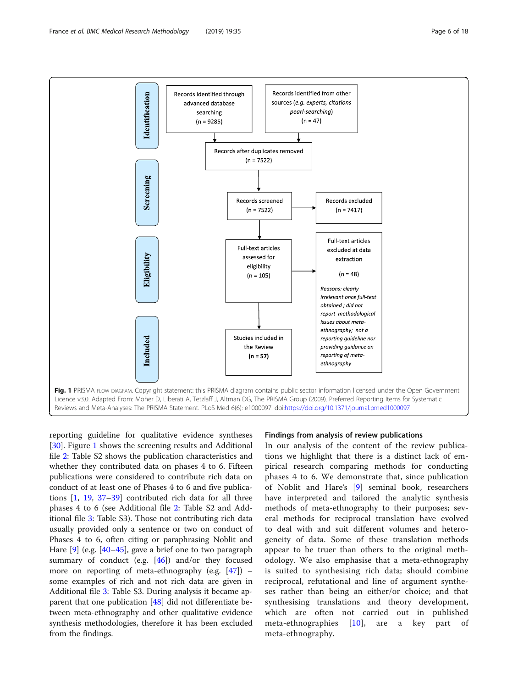<span id="page-5-0"></span>

reporting guideline for qualitative evidence syntheses [[30\]](#page-16-0). Figure 1 shows the screening results and Additional file [2](#page-15-0): Table S2 shows the publication characteristics and whether they contributed data on phases 4 to 6. Fifteen publications were considered to contribute rich data on conduct of at least one of Phases 4 to 6 and five publications [\[1](#page-16-0), [19,](#page-16-0) [37](#page-17-0)–[39\]](#page-17-0) contributed rich data for all three phases 4 to 6 (see Additional file [2:](#page-15-0) Table S2 and Additional file [3](#page-15-0): Table S3). Those not contributing rich data usually provided only a sentence or two on conduct of Phases 4 to 6, often citing or paraphrasing Noblit and Hare [\[9](#page-16-0)] (e.g. [\[40](#page-17-0)–[45\]](#page-17-0), gave a brief one to two paragraph summary of conduct (e.g. [\[46\]](#page-17-0)) and/or they focused more on reporting of meta-ethnography (e.g.  $[47]$  $[47]$ ) – some examples of rich and not rich data are given in Additional file [3](#page-15-0): Table S3. During analysis it became apparent that one publication [[48\]](#page-17-0) did not differentiate between meta-ethnography and other qualitative evidence synthesis methodologies, therefore it has been excluded from the findings.

#### Findings from analysis of review publications

In our analysis of the content of the review publications we highlight that there is a distinct lack of empirical research comparing methods for conducting phases 4 to 6. We demonstrate that, since publication of Noblit and Hare's [\[9](#page-16-0)] seminal book, researchers have interpreted and tailored the analytic synthesis methods of meta-ethnography to their purposes; several methods for reciprocal translation have evolved to deal with and suit different volumes and heterogeneity of data. Some of these translation methods appear to be truer than others to the original methodology. We also emphasise that a meta-ethnography is suited to synthesising rich data; should combine reciprocal, refutational and line of argument syntheses rather than being an either/or choice; and that synthesising translations and theory development, which are often not carried out in published meta-ethnographies [[10\]](#page-16-0), are a key part of meta-ethnography.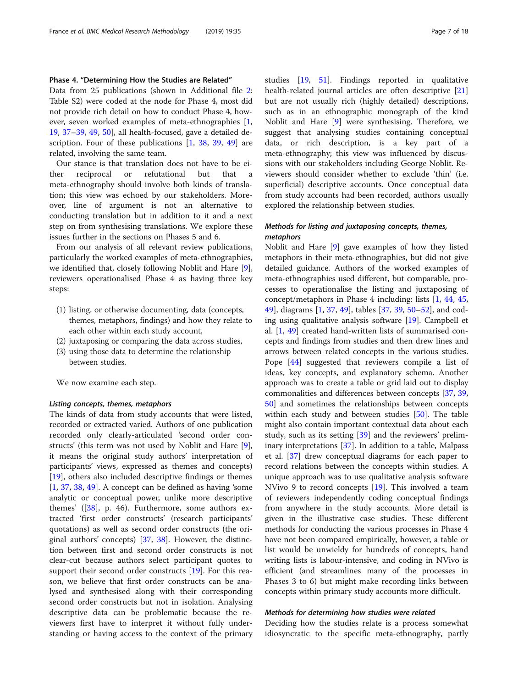## Phase 4. "Determining How the Studies are Related"

Data from 25 publications (shown in Additional file [2](#page-15-0): Table S2) were coded at the node for Phase 4, most did not provide rich detail on how to conduct Phase 4, however, seven worked examples of meta-ethnographies [[1](#page-16-0), [19,](#page-16-0) [37](#page-17-0)–[39](#page-17-0), [49](#page-17-0), [50\]](#page-17-0), all health-focused, gave a detailed description. Four of these publications [\[1,](#page-16-0) [38](#page-17-0), [39](#page-17-0), [49\]](#page-17-0) are related, involving the same team.

Our stance is that translation does not have to be either reciprocal or refutational but that meta-ethnography should involve both kinds of translation; this view was echoed by our stakeholders. Moreover, line of argument is not an alternative to conducting translation but in addition to it and a next step on from synthesising translations. We explore these issues further in the sections on Phases 5 and 6.

From our analysis of all relevant review publications, particularly the worked examples of meta-ethnographies, we identified that, closely following Noblit and Hare [\[9](#page-16-0)], reviewers operationalised Phase 4 as having three key steps:

- (1) listing, or otherwise documenting, data (concepts, themes, metaphors, findings) and how they relate to each other within each study account,
- (2) juxtaposing or comparing the data across studies,
- (3) using those data to determine the relationship between studies.

We now examine each step.

#### Listing concepts, themes, metaphors

The kinds of data from study accounts that were listed, recorded or extracted varied. Authors of one publication recorded only clearly-articulated 'second order constructs' (this term was not used by Noblit and Hare [\[9](#page-16-0)], it means the original study authors' interpretation of participants' views, expressed as themes and concepts) [[19\]](#page-16-0), others also included descriptive findings or themes  $[1, 37, 38, 49]$  $[1, 37, 38, 49]$  $[1, 37, 38, 49]$  $[1, 37, 38, 49]$  $[1, 37, 38, 49]$  $[1, 37, 38, 49]$  $[1, 37, 38, 49]$  $[1, 37, 38, 49]$ . A concept can be defined as having 'some analytic or conceptual power, unlike more descriptive themes' ([[38\]](#page-17-0), p. 46). Furthermore, some authors extracted 'first order constructs' (research participants' quotations) as well as second order constructs (the original authors' concepts) [\[37,](#page-17-0) [38](#page-17-0)]. However, the distinction between first and second order constructs is not clear-cut because authors select participant quotes to support their second order constructs [\[19](#page-16-0)]. For this reason, we believe that first order constructs can be analysed and synthesised along with their corresponding second order constructs but not in isolation. Analysing descriptive data can be problematic because the reviewers first have to interpret it without fully understanding or having access to the context of the primary studies [\[19](#page-16-0), [51](#page-17-0)]. Findings reported in qualitative health-related journal articles are often descriptive [[21](#page-16-0)] but are not usually rich (highly detailed) descriptions, such as in an ethnographic monograph of the kind Noblit and Hare [[9\]](#page-16-0) were synthesising. Therefore, we suggest that analysing studies containing conceptual data, or rich description, is a key part of a meta-ethnography; this view was influenced by discussions with our stakeholders including George Noblit. Reviewers should consider whether to exclude 'thin' (i.e. superficial) descriptive accounts. Once conceptual data from study accounts had been recorded, authors usually explored the relationship between studies.

## Methods for listing and juxtaposing concepts, themes, metaphors

Noblit and Hare [[9\]](#page-16-0) gave examples of how they listed metaphors in their meta-ethnographies, but did not give detailed guidance. Authors of the worked examples of meta-ethnographies used different, but comparable, processes to operationalise the listing and juxtaposing of concept/metaphors in Phase 4 including: lists [[1](#page-16-0), [44,](#page-17-0) [45](#page-17-0), [49\]](#page-17-0), diagrams [[1,](#page-16-0) [37,](#page-17-0) [49\]](#page-17-0), tables [[37](#page-17-0), [39](#page-17-0), [50](#page-17-0)–[52\]](#page-17-0), and coding using qualitative analysis software [\[19](#page-16-0)]. Campbell et al. [\[1](#page-16-0), [49\]](#page-17-0) created hand-written lists of summarised concepts and findings from studies and then drew lines and arrows between related concepts in the various studies. Pope [[44\]](#page-17-0) suggested that reviewers compile a list of ideas, key concepts, and explanatory schema. Another approach was to create a table or grid laid out to display commonalities and differences between concepts [[37](#page-17-0), [39](#page-17-0), [50\]](#page-17-0) and sometimes the relationships between concepts within each study and between studies [[50](#page-17-0)]. The table might also contain important contextual data about each study, such as its setting [\[39](#page-17-0)] and the reviewers' preliminary interpretations [[37\]](#page-17-0). In addition to a table, Malpass et al. [\[37\]](#page-17-0) drew conceptual diagrams for each paper to record relations between the concepts within studies. A unique approach was to use qualitative analysis software NVivo 9 to record concepts [\[19](#page-16-0)]. This involved a team of reviewers independently coding conceptual findings from anywhere in the study accounts. More detail is given in the illustrative case studies. These different methods for conducting the various processes in Phase 4 have not been compared empirically, however, a table or list would be unwieldy for hundreds of concepts, hand writing lists is labour-intensive, and coding in NVivo is efficient (and streamlines many of the processes in Phases 3 to 6) but might make recording links between concepts within primary study accounts more difficult.

#### Methods for determining how studies were related

Deciding how the studies relate is a process somewhat idiosyncratic to the specific meta-ethnography, partly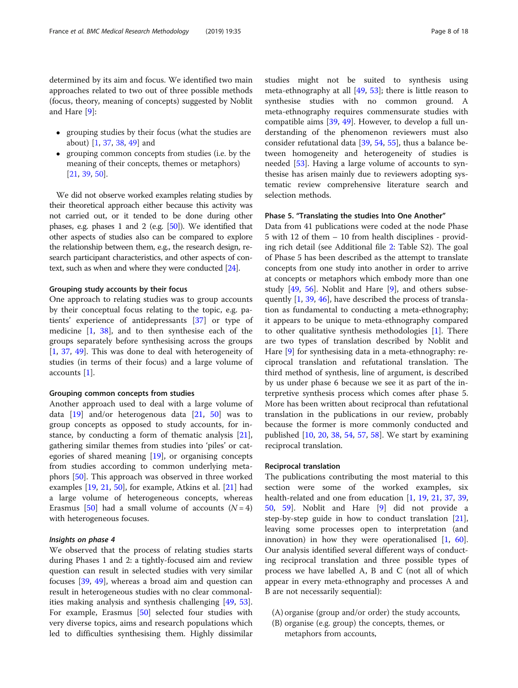determined by its aim and focus. We identified two main approaches related to two out of three possible methods (focus, theory, meaning of concepts) suggested by Noblit and Hare [[9\]](#page-16-0):

- grouping studies by their focus (what the studies are about) [[1](#page-16-0), [37](#page-17-0), [38,](#page-17-0) [49\]](#page-17-0) and
- grouping common concepts from studies (i.e. by the meaning of their concepts, themes or metaphors) [[21](#page-16-0), [39](#page-17-0), [50\]](#page-17-0).

We did not observe worked examples relating studies by their theoretical approach either because this activity was not carried out, or it tended to be done during other phases, e.g. phases 1 and 2 (e.g. [\[50](#page-17-0)]). We identified that other aspects of studies also can be compared to explore the relationship between them, e.g., the research design, research participant characteristics, and other aspects of context, such as when and where they were conducted [[24](#page-16-0)].

## Grouping study accounts by their focus

One approach to relating studies was to group accounts by their conceptual focus relating to the topic, e.g. patients' experience of antidepressants [\[37](#page-17-0)] or type of medicine [\[1](#page-16-0), [38\]](#page-17-0), and to then synthesise each of the groups separately before synthesising across the groups [[1,](#page-16-0) [37](#page-17-0), [49](#page-17-0)]. This was done to deal with heterogeneity of studies (in terms of their focus) and a large volume of accounts [[1\]](#page-16-0).

#### Grouping common concepts from studies

Another approach used to deal with a large volume of data  $[19]$  $[19]$  and/or heterogenous data  $[21, 50]$  $[21, 50]$  $[21, 50]$  $[21, 50]$  was to group concepts as opposed to study accounts, for instance, by conducting a form of thematic analysis [\[21](#page-16-0)], gathering similar themes from studies into 'piles' or categories of shared meaning [\[19](#page-16-0)], or organising concepts from studies according to common underlying metaphors [\[50](#page-17-0)]. This approach was observed in three worked examples [[19,](#page-16-0) [21,](#page-16-0) [50\]](#page-17-0), for example, Atkins et al. [\[21](#page-16-0)] had a large volume of heterogeneous concepts, whereas Erasmus [[50](#page-17-0)] had a small volume of accounts  $(N = 4)$ with heterogeneous focuses.

#### Insights on phase 4

We observed that the process of relating studies starts during Phases 1 and 2: a tightly-focused aim and review question can result in selected studies with very similar focuses [\[39](#page-17-0), [49\]](#page-17-0), whereas a broad aim and question can result in heterogeneous studies with no clear commonalities making analysis and synthesis challenging [\[49](#page-17-0), [53](#page-17-0)]. For example, Erasmus [[50](#page-17-0)] selected four studies with very diverse topics, aims and research populations which led to difficulties synthesising them. Highly dissimilar studies might not be suited to synthesis using meta-ethnography at all  $[49, 53]$  $[49, 53]$  $[49, 53]$  $[49, 53]$ ; there is little reason to synthesise studies with no common ground. A meta-ethnography requires commensurate studies with compatible aims [[39](#page-17-0), [49\]](#page-17-0). However, to develop a full understanding of the phenomenon reviewers must also consider refutational data [[39,](#page-17-0) [54,](#page-17-0) [55](#page-17-0)], thus a balance between homogeneity and heterogeneity of studies is needed [[53](#page-17-0)]. Having a large volume of accounts to synthesise has arisen mainly due to reviewers adopting systematic review comprehensive literature search and selection methods.

## Phase 5. "Translating the studies Into One Another"

Data from 41 publications were coded at the node Phase 5 with 12 of them – 10 from health disciplines - providing rich detail (see Additional file [2](#page-15-0): Table S2). The goal of Phase 5 has been described as the attempt to translate concepts from one study into another in order to arrive at concepts or metaphors which embody more than one study [\[49](#page-17-0), [56\]](#page-17-0). Noblit and Hare [\[9](#page-16-0)], and others subsequently [\[1](#page-16-0), [39](#page-17-0), [46](#page-17-0)], have described the process of translation as fundamental to conducting a meta-ethnography; it appears to be unique to meta-ethnography compared to other qualitative synthesis methodologies [\[1](#page-16-0)]. There are two types of translation described by Noblit and Hare [[9\]](#page-16-0) for synthesising data in a meta-ethnography: reciprocal translation and refutational translation. The third method of synthesis, line of argument, is described by us under phase 6 because we see it as part of the interpretive synthesis process which comes after phase 5. More has been written about reciprocal than refutational translation in the publications in our review, probably because the former is more commonly conducted and published [[10](#page-16-0), [20,](#page-16-0) [38,](#page-17-0) [54,](#page-17-0) [57](#page-17-0), [58](#page-17-0)]. We start by examining reciprocal translation.

#### Reciprocal translation

The publications contributing the most material to this section were some of the worked examples, six health-related and one from education [[1](#page-16-0), [19,](#page-16-0) [21,](#page-16-0) [37](#page-17-0), [39](#page-17-0), [50,](#page-17-0) [59\]](#page-17-0). Noblit and Hare [\[9](#page-16-0)] did not provide a step-by-step guide in how to conduct translation [\[21](#page-16-0)], leaving some processes open to interpretation (and innovation) in how they were operationalised [[1,](#page-16-0) [60](#page-17-0)]. Our analysis identified several different ways of conducting reciprocal translation and three possible types of process we have labelled A, B and C (not all of which appear in every meta-ethnography and processes A and B are not necessarily sequential):

- (A) organise (group and/or order) the study accounts,
- (B) organise (e.g. group) the concepts, themes, or metaphors from accounts,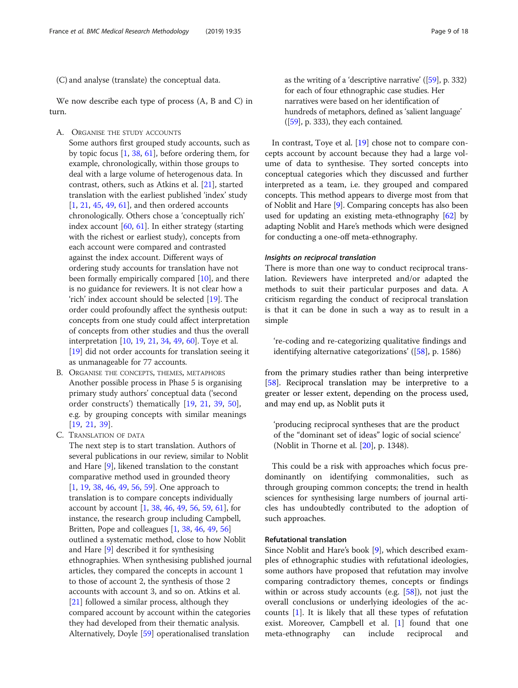(C) and analyse (translate) the conceptual data.

We now describe each type of process (A, B and C) in turn.

- A. ORGANISE THE STUDY ACCOUNTS
	- Some authors first grouped study accounts, such as by topic focus [[1,](#page-16-0) [38](#page-17-0), [61](#page-17-0)], before ordering them, for example, chronologically, within those groups to deal with a large volume of heterogenous data. In contrast, others, such as Atkins et al. [\[21\]](#page-16-0), started translation with the earliest published 'index' study [\[1](#page-16-0), [21,](#page-16-0) [45,](#page-17-0) [49](#page-17-0), [61](#page-17-0)], and then ordered accounts chronologically. Others chose a 'conceptually rich' index account  $[60, 61]$  $[60, 61]$  $[60, 61]$  $[60, 61]$ . In either strategy (starting with the richest or earliest study), concepts from each account were compared and contrasted against the index account. Different ways of ordering study accounts for translation have not been formally empirically compared [\[10\]](#page-16-0), and there is no guidance for reviewers. It is not clear how a 'rich' index account should be selected [[19](#page-16-0)]. The order could profoundly affect the synthesis output: concepts from one study could affect interpretation of concepts from other studies and thus the overall interpretation [[10](#page-16-0), [19](#page-16-0), [21,](#page-16-0) [34,](#page-17-0) [49](#page-17-0), [60\]](#page-17-0). Toye et al. [\[19](#page-16-0)] did not order accounts for translation seeing it as unmanageable for 77 accounts.
- B. ORGANISE THE CONCEPTS, THEMES, METAPHORS Another possible process in Phase 5 is organising primary study authors' conceptual data ('second order constructs') thematically [\[19](#page-16-0), [21,](#page-16-0) [39,](#page-17-0) [50\]](#page-17-0), e.g. by grouping concepts with similar meanings [[19](#page-16-0), [21](#page-16-0), [39](#page-17-0)].
- C. TRANSLATION OF DATA

The next step is to start translation. Authors of several publications in our review, similar to Noblit and Hare [[9\]](#page-16-0), likened translation to the constant comparative method used in grounded theory [\[1](#page-16-0), [19,](#page-16-0) [38,](#page-17-0) [46](#page-17-0), [49](#page-17-0), [56,](#page-17-0) [59](#page-17-0)]. One approach to translation is to compare concepts individually account by account [\[1](#page-16-0), [38,](#page-17-0) [46,](#page-17-0) [49](#page-17-0), [56,](#page-17-0) [59,](#page-17-0) [61](#page-17-0)], for instance, the research group including Campbell, Britten, Pope and colleagues [\[1](#page-16-0), [38,](#page-17-0) [46,](#page-17-0) [49](#page-17-0), [56\]](#page-17-0) outlined a systematic method, close to how Noblit and Hare [[9\]](#page-16-0) described it for synthesising ethnographies. When synthesising published journal articles, they compared the concepts in account 1 to those of account 2, the synthesis of those 2 accounts with account 3, and so on. Atkins et al. [\[21](#page-16-0)] followed a similar process, although they compared account by account within the categories they had developed from their thematic analysis. Alternatively, Doyle [[59](#page-17-0)] operationalised translation

as the writing of a 'descriptive narrative' ([[59\]](#page-17-0), p. 332) for each of four ethnographic case studies. Her narratives were based on her identification of hundreds of metaphors, defined as 'salient language'  $([59], p. 333)$  $([59], p. 333)$  $([59], p. 333)$ , they each contained.

In contrast, Toye et al. [[19](#page-16-0)] chose not to compare concepts account by account because they had a large volume of data to synthesise. They sorted concepts into conceptual categories which they discussed and further interpreted as a team, i.e. they grouped and compared concepts. This method appears to diverge most from that of Noblit and Hare [[9](#page-16-0)]. Comparing concepts has also been used for updating an existing meta-ethnography [\[62\]](#page-17-0) by adapting Noblit and Hare's methods which were designed for conducting a one-off meta-ethnography.

#### Insights on reciprocal translation

There is more than one way to conduct reciprocal translation. Reviewers have interpreted and/or adapted the methods to suit their particular purposes and data. A criticism regarding the conduct of reciprocal translation is that it can be done in such a way as to result in a simple

're-coding and re-categorizing qualitative findings and identifying alternative categorizations' ([\[58\]](#page-17-0), p. 1586)

from the primary studies rather than being interpretive [[58\]](#page-17-0). Reciprocal translation may be interpretive to a greater or lesser extent, depending on the process used, and may end up, as Noblit puts it

'producing reciprocal syntheses that are the product of the "dominant set of ideas" logic of social science' (Noblit in Thorne et al. [[20\]](#page-16-0), p. 1348).

This could be a risk with approaches which focus predominantly on identifying commonalities, such as through grouping common concepts; the trend in health sciences for synthesising large numbers of journal articles has undoubtedly contributed to the adoption of such approaches.

## Refutational translation

Since Noblit and Hare's book [[9\]](#page-16-0), which described examples of ethnographic studies with refutational ideologies, some authors have proposed that refutation may involve comparing contradictory themes, concepts or findings within or across study accounts (e.g. [[58\]](#page-17-0)), not just the overall conclusions or underlying ideologies of the accounts [[1](#page-16-0)]. It is likely that all these types of refutation exist. Moreover, Campbell et al. [[1\]](#page-16-0) found that one meta-ethnography can include reciprocal and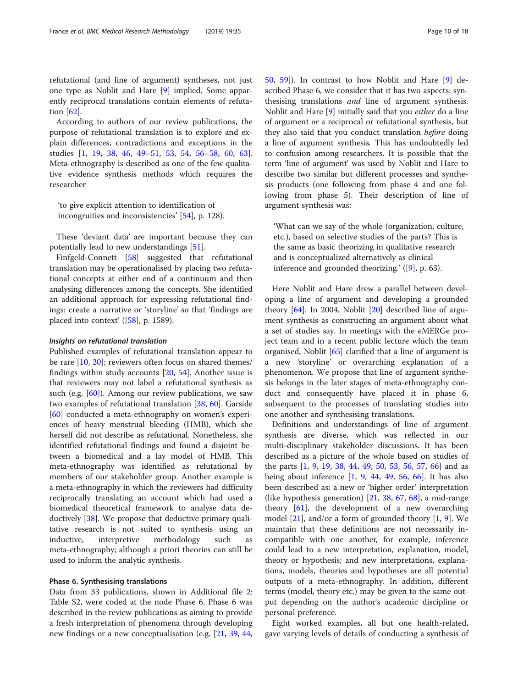refutational (and line of argument) syntheses, not just one type as Noblit and Hare [[9](#page-16-0)] implied. Some apparently reciprocal translations contain elements of refutation [\[62\]](#page-17-0).

According to authors of our review publications, the purpose of refutational translation is to explore and explain differences, contradictions and exceptions in the studies [\[1](#page-16-0), [19,](#page-16-0) [38,](#page-17-0) [46](#page-17-0), [49](#page-17-0)–[51](#page-17-0), [53](#page-17-0), [54,](#page-17-0) [56](#page-17-0)–[58,](#page-17-0) [60](#page-17-0), [63](#page-17-0)]. Meta-ethnography is described as one of the few qualitative evidence synthesis methods which requires the researcher

'to give explicit attention to identification of incongruities and inconsistencies' [[54\]](#page-17-0), p. 128).

These 'deviant data' are important because they can potentially lead to new understandings [\[51](#page-17-0)].

Finfgeld-Connett [[58\]](#page-17-0) suggested that refutational translation may be operationalised by placing two refutational concepts at either end of a continuum and then analysing differences among the concepts. She identified an additional approach for expressing refutational findings: create a narrative or 'storyline' so that 'findings are placed into context'  $([58]$  $([58]$ , p. 1589).

#### Insights on refutational translation

Published examples of refutational translation appear to be rare [[10](#page-16-0), [20](#page-16-0)]; reviewers often focus on shared themes/ findings within study accounts [[20,](#page-16-0) [54\]](#page-17-0). Another issue is that reviewers may not label a refutational synthesis as such (e.g. [\[60](#page-17-0)]). Among our review publications, we saw two examples of refutational translation [\[38](#page-17-0), [60](#page-17-0)]. Garside [[60\]](#page-17-0) conducted a meta-ethnography on women's experiences of heavy menstrual bleeding (HMB), which she herself did not describe as refutational. Nonetheless, she identified refutational findings and found a disjoint between a biomedical and a lay model of HMB. This meta-ethnography was identified as refutational by members of our stakeholder group. Another example is a meta-ethnography in which the reviewers had difficulty reciprocally translating an account which had used a biomedical theoretical framework to analyse data deductively [\[38](#page-17-0)]. We propose that deductive primary qualitative research is not suited to synthesis using an inductive, interpretive methodology such as meta-ethnography; although a priori theories can still be used to inform the analytic synthesis.

## Phase 6. Synthesising translations

Data from 33 publications, shown in Additional file [2](#page-15-0): Table S2, were coded at the node Phase 6. Phase 6 was described in the review publications as aiming to provide a fresh interpretation of phenomena through developing new findings or a new conceptualisation (e.g. [\[21](#page-16-0), [39](#page-17-0), [44](#page-17-0), [50,](#page-17-0) [59\]](#page-17-0)). In contrast to how Noblit and Hare [\[9](#page-16-0)] described Phase 6, we consider that it has two aspects: synthesising translations *and* line of argument synthesis. Noblit and Hare [[9\]](#page-16-0) initially said that you either do a line of argument or a reciprocal or refutational synthesis, but they also said that you conduct translation before doing a line of argument synthesis. This has undoubtedly led to confusion among researchers. It is possible that the term 'line of argument' was used by Noblit and Hare to describe two similar but different processes and synthesis products (one following from phase 4 and one following from phase 5). Their description of line of argument synthesis was:

'What can we say of the whole (organization, culture, etc.), based on selective studies of the parts? This is the same as basic theorizing in qualitative research and is conceptualized alternatively as clinical inference and grounded theorizing.' ([[9\]](#page-16-0), p. 63).

Here Noblit and Hare drew a parallel between developing a line of argument and developing a grounded theory  $[64]$  $[64]$ . In 2004, Noblit  $[20]$  $[20]$  described line of argument synthesis as constructing an argument about what a set of studies say. In meetings with the eMERGe project team and in a recent public lecture which the team organised, Noblit [[65](#page-17-0)] clarified that a line of argument is a new 'storyline' or overarching explanation of a phenomenon. We propose that line of argument synthesis belongs in the later stages of meta-ethnography conduct and consequently have placed it in phase 6, subsequent to the processes of translating studies into one another and synthesising translations.

Definitions and understandings of line of argument synthesis are diverse, which was reflected in our multi-disciplinary stakeholder discussions. It has been described as a picture of the whole based on studies of the parts [\[1](#page-16-0), [9](#page-16-0), [19,](#page-16-0) [38](#page-17-0), [44,](#page-17-0) [49,](#page-17-0) [50](#page-17-0), [53,](#page-17-0) [56](#page-17-0), [57](#page-17-0), [66\]](#page-17-0) and as being about inference  $[1, 9, 44, 49, 56, 66]$  $[1, 9, 44, 49, 56, 66]$  $[1, 9, 44, 49, 56, 66]$  $[1, 9, 44, 49, 56, 66]$  $[1, 9, 44, 49, 56, 66]$  $[1, 9, 44, 49, 56, 66]$  $[1, 9, 44, 49, 56, 66]$  $[1, 9, 44, 49, 56, 66]$  $[1, 9, 44, 49, 56, 66]$  $[1, 9, 44, 49, 56, 66]$  $[1, 9, 44, 49, 56, 66]$ . It has also been described as: a new or 'higher order' interpretation (like hypothesis generation) [[21,](#page-16-0) [38,](#page-17-0) [67](#page-17-0), [68](#page-17-0)], a mid-range theory  $[61]$  $[61]$  $[61]$ , the development of a new overarching model  $[21]$  $[21]$ , and/or a form of grounded theory  $[1, 9]$  $[1, 9]$  $[1, 9]$  $[1, 9]$ . We maintain that these definitions are not necessarily incompatible with one another, for example, inference could lead to a new interpretation, explanation, model, theory or hypothesis; and new interpretations, explanations, models, theories and hypotheses are all potential outputs of a meta-ethnography. In addition, different terms (model, theory etc.) may be given to the same output depending on the author's academic discipline or personal preference.

Eight worked examples, all but one health-related, gave varying levels of details of conducting a synthesis of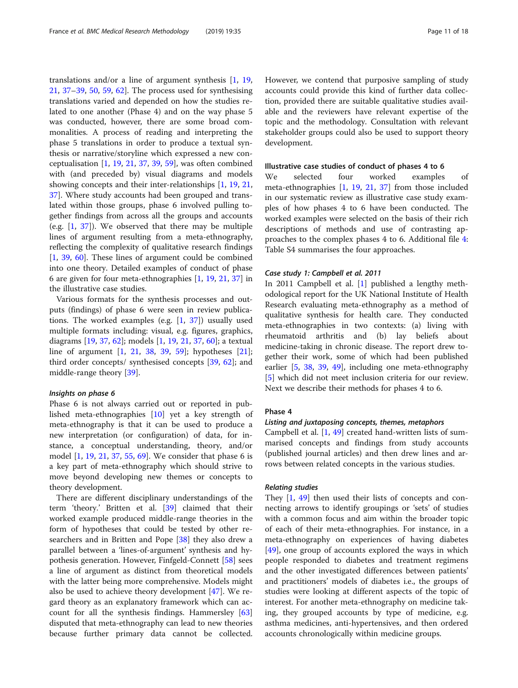translations and/or a line of argument synthesis [\[1](#page-16-0), [19](#page-16-0), [21,](#page-16-0) [37](#page-17-0)–[39](#page-17-0), [50,](#page-17-0) [59,](#page-17-0) [62](#page-17-0)]. The process used for synthesising translations varied and depended on how the studies related to one another (Phase 4) and on the way phase 5 was conducted, however, there are some broad commonalities. A process of reading and interpreting the phase 5 translations in order to produce a textual synthesis or narrative/storyline which expressed a new conceptualisation [\[1](#page-16-0), [19](#page-16-0), [21](#page-16-0), [37](#page-17-0), [39](#page-17-0), [59\]](#page-17-0), was often combined with (and preceded by) visual diagrams and models showing concepts and their inter-relationships [\[1](#page-16-0), [19](#page-16-0), [21](#page-16-0), [37\]](#page-17-0). Where study accounts had been grouped and translated within those groups, phase 6 involved pulling together findings from across all the groups and accounts (e.g.  $[1, 37]$  $[1, 37]$  $[1, 37]$  $[1, 37]$  $[1, 37]$ ). We observed that there may be multiple lines of argument resulting from a meta-ethnography, reflecting the complexity of qualitative research findings [[1,](#page-16-0) [39](#page-17-0), [60](#page-17-0)]. These lines of argument could be combined into one theory. Detailed examples of conduct of phase 6 are given for four meta-ethnographies [[1,](#page-16-0) [19,](#page-16-0) [21](#page-16-0), [37](#page-17-0)] in the illustrative case studies.

Various formats for the synthesis processes and outputs (findings) of phase 6 were seen in review publications. The worked examples (e.g. [\[1](#page-16-0), [37\]](#page-17-0)) usually used multiple formats including: visual, e.g. figures, graphics, diagrams [[19,](#page-16-0) [37](#page-17-0), [62](#page-17-0)]; models [[1,](#page-16-0) [19,](#page-16-0) [21](#page-16-0), [37](#page-17-0), [60](#page-17-0)]; a textual line of argument [[1,](#page-16-0) [21,](#page-16-0) [38](#page-17-0), [39](#page-17-0), [59\]](#page-17-0); hypotheses [\[21](#page-16-0)]; third order concepts/ synthesised concepts [\[39](#page-17-0), [62\]](#page-17-0); and middle-range theory [\[39\]](#page-17-0).

## Insights on phase 6

Phase 6 is not always carried out or reported in published meta-ethnographies [[10](#page-16-0)] yet a key strength of meta-ethnography is that it can be used to produce a new interpretation (or configuration) of data, for instance, a conceptual understanding, theory, and/or model [\[1](#page-16-0), [19](#page-16-0), [21](#page-16-0), [37](#page-17-0), [55,](#page-17-0) [69\]](#page-17-0). We consider that phase 6 is a key part of meta-ethnography which should strive to move beyond developing new themes or concepts to theory development.

There are different disciplinary understandings of the term 'theory.' Britten et al. [\[39](#page-17-0)] claimed that their worked example produced middle-range theories in the form of hypotheses that could be tested by other researchers and in Britten and Pope [[38](#page-17-0)] they also drew a parallel between a 'lines-of-argument' synthesis and hypothesis generation. However, Finfgeld-Connett [\[58](#page-17-0)] sees a line of argument as distinct from theoretical models with the latter being more comprehensive. Models might also be used to achieve theory development [\[47\]](#page-17-0). We regard theory as an explanatory framework which can account for all the synthesis findings. Hammersley [[63](#page-17-0)] disputed that meta-ethnography can lead to new theories because further primary data cannot be collected. However, we contend that purposive sampling of study accounts could provide this kind of further data collection, provided there are suitable qualitative studies available and the reviewers have relevant expertise of the topic and the methodology. Consultation with relevant stakeholder groups could also be used to support theory development.

#### Illustrative case studies of conduct of phases 4 to 6

We selected four worked examples of meta-ethnographies [\[1](#page-16-0), [19](#page-16-0), [21](#page-16-0), [37](#page-17-0)] from those included in our systematic review as illustrative case study examples of how phases 4 to 6 have been conducted. The worked examples were selected on the basis of their rich descriptions of methods and use of contrasting approaches to the complex phases 4 to 6. Additional file [4](#page-15-0): Table S4 summarises the four approaches.

#### Case study 1: Campbell et al. 2011

In 2011 Campbell et al. [\[1](#page-16-0)] published a lengthy methodological report for the UK National Institute of Health Research evaluating meta-ethnography as a method of qualitative synthesis for health care. They conducted meta-ethnographies in two contexts: (a) living with rheumatoid arthritis and (b) lay beliefs about medicine-taking in chronic disease. The report drew together their work, some of which had been published earlier [[5,](#page-16-0) [38](#page-17-0), [39,](#page-17-0) [49](#page-17-0)], including one meta-ethnography [[5\]](#page-16-0) which did not meet inclusion criteria for our review. Next we describe their methods for phases 4 to 6.

## Phase 4

## Listing and juxtaposing concepts, themes, metaphors

Campbell et al. [[1,](#page-16-0) [49\]](#page-17-0) created hand-written lists of summarised concepts and findings from study accounts (published journal articles) and then drew lines and arrows between related concepts in the various studies.

## Relating studies

They [[1](#page-16-0), [49](#page-17-0)] then used their lists of concepts and connecting arrows to identify groupings or 'sets' of studies with a common focus and aim within the broader topic of each of their meta-ethnographies. For instance, in a meta-ethnography on experiences of having diabetes [[49\]](#page-17-0), one group of accounts explored the ways in which people responded to diabetes and treatment regimens and the other investigated differences between patients' and practitioners' models of diabetes i.e., the groups of studies were looking at different aspects of the topic of interest. For another meta-ethnography on medicine taking, they grouped accounts by type of medicine, e.g. asthma medicines, anti-hypertensives, and then ordered accounts chronologically within medicine groups.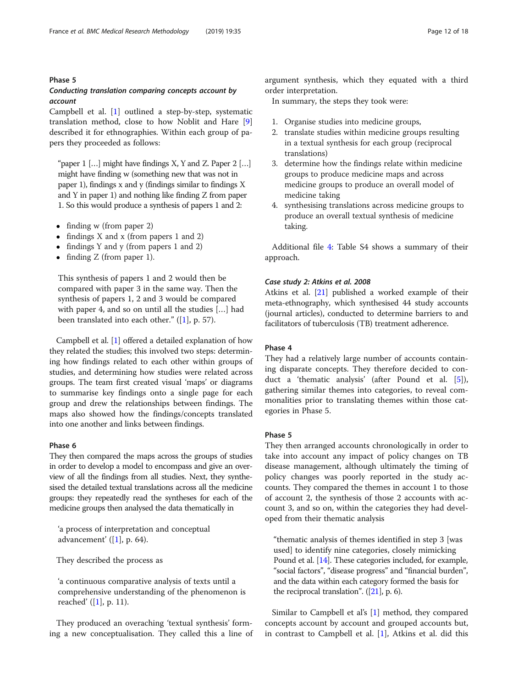## Phase 5

## Conducting translation comparing concepts account by account

Campbell et al. [\[1](#page-16-0)] outlined a step-by-step, systematic translation method, close to how Noblit and Hare [\[9](#page-16-0)] described it for ethnographies. Within each group of papers they proceeded as follows:

"paper  $1$  [...] might have findings X, Y and Z. Paper  $2$  [...] might have finding w (something new that was not in paper 1), findings x and y (findings similar to findings X and Y in paper 1) and nothing like finding Z from paper 1. So this would produce a synthesis of papers 1 and 2:

- finding w (from paper 2)
- findings X and x (from papers 1 and 2)
- findings Y and y (from papers 1 and 2)
- finding Z (from paper 1).

This synthesis of papers 1 and 2 would then be compared with paper 3 in the same way. Then the synthesis of papers 1, 2 and 3 would be compared with paper 4, and so on until all the studies […] had been translated into each other." ([\[1](#page-16-0)], p. 57).

Campbell et al. [[1\]](#page-16-0) offered a detailed explanation of how they related the studies; this involved two steps: determining how findings related to each other within groups of studies, and determining how studies were related across groups. The team first created visual 'maps' or diagrams to summarise key findings onto a single page for each group and drew the relationships between findings. The maps also showed how the findings/concepts translated into one another and links between findings.

## Phase 6

They then compared the maps across the groups of studies in order to develop a model to encompass and give an overview of all the findings from all studies. Next, they synthesised the detailed textual translations across all the medicine groups: they repeatedly read the syntheses for each of the medicine groups then analysed the data thematically in

'a process of interpretation and conceptual advancement'  $([1], p. 64)$  $([1], p. 64)$  $([1], p. 64)$ .

They described the process as

'a continuous comparative analysis of texts until a comprehensive understanding of the phenomenon is reached' ([[1\]](#page-16-0), p. 11).

They produced an overaching 'textual synthesis' forming a new conceptualisation. They called this a line of

argument synthesis, which they equated with a third order interpretation.

In summary, the steps they took were:

- 1. Organise studies into medicine groups,
- 2. translate studies within medicine groups resulting in a textual synthesis for each group (reciprocal translations)
- 3. determine how the findings relate within medicine groups to produce medicine maps and across medicine groups to produce an overall model of medicine taking
- 4. synthesising translations across medicine groups to produce an overall textual synthesis of medicine taking.

Additional file [4](#page-15-0): Table S4 shows a summary of their approach.

#### Case study 2: Atkins et al. 2008

Atkins et al. [[21](#page-16-0)] published a worked example of their meta-ethnography, which synthesised 44 study accounts (journal articles), conducted to determine barriers to and facilitators of tuberculosis (TB) treatment adherence.

## Phase 4

They had a relatively large number of accounts containing disparate concepts. They therefore decided to conduct a 'thematic analysis' (after Pound et al. [\[5](#page-16-0)]), gathering similar themes into categories, to reveal commonalities prior to translating themes within those categories in Phase 5.

## Phase 5

They then arranged accounts chronologically in order to take into account any impact of policy changes on TB disease management, although ultimately the timing of policy changes was poorly reported in the study accounts. They compared the themes in account 1 to those of account 2, the synthesis of those 2 accounts with account 3, and so on, within the categories they had developed from their thematic analysis

"thematic analysis of themes identified in step 3 [was used] to identify nine categories, closely mimicking Pound et al. [\[14](#page-16-0)]. These categories included, for example, "social factors", "disease progress" and "financial burden", and the data within each category formed the basis for the reciprocal translation". ([\[21\]](#page-16-0), p. 6).

Similar to Campbell et al's [[1\]](#page-16-0) method, they compared concepts account by account and grouped accounts but, in contrast to Campbell et al. [\[1\]](#page-16-0), Atkins et al. did this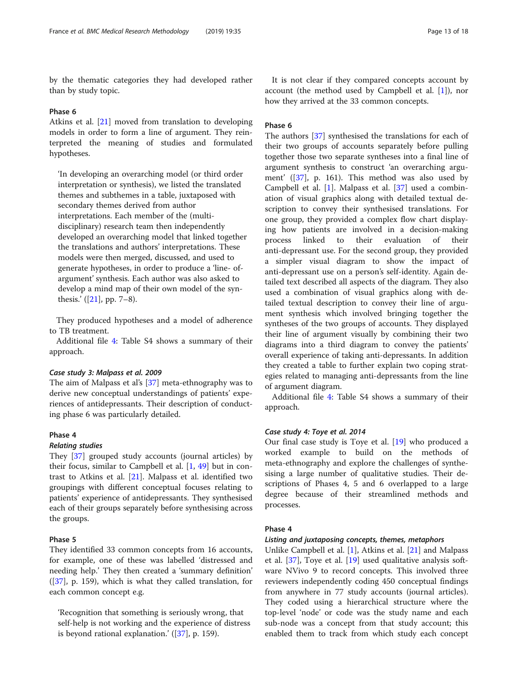by the thematic categories they had developed rather than by study topic.

#### Phase 6

Atkins et al. [[21\]](#page-16-0) moved from translation to developing models in order to form a line of argument. They reinterpreted the meaning of studies and formulated hypotheses.

'In developing an overarching model (or third order interpretation or synthesis), we listed the translated themes and subthemes in a table, juxtaposed with secondary themes derived from author interpretations. Each member of the (multidisciplinary) research team then independently developed an overarching model that linked together the translations and authors' interpretations. These models were then merged, discussed, and used to generate hypotheses, in order to produce a 'line- ofargument' synthesis. Each author was also asked to develop a mind map of their own model of the synthesis.'  $([21]$  $([21]$ , pp. 7–8).

They produced hypotheses and a model of adherence to TB treatment.

Additional file [4](#page-15-0): Table S4 shows a summary of their approach.

## Case study 3: Malpass et al. 2009

The aim of Malpass et al's [\[37](#page-17-0)] meta-ethnography was to derive new conceptual understandings of patients' experiences of antidepressants. Their description of conducting phase 6 was particularly detailed.

#### Phase 4

## Relating studies

They [[37\]](#page-17-0) grouped study accounts (journal articles) by their focus, similar to Campbell et al. [\[1](#page-16-0), [49](#page-17-0)] but in contrast to Atkins et al. [[21\]](#page-16-0). Malpass et al. identified two groupings with different conceptual focuses relating to patients' experience of antidepressants. They synthesised each of their groups separately before synthesising across the groups.

## Phase 5

They identified 33 common concepts from 16 accounts, for example, one of these was labelled 'distressed and needing help.' They then created a 'summary definition' ([\[37\]](#page-17-0), p. 159), which is what they called translation, for each common concept e.g.

'Recognition that something is seriously wrong, that self-help is not working and the experience of distress is beyond rational explanation.' ([[37](#page-17-0)], p. 159).

It is not clear if they compared concepts account by account (the method used by Campbell et al. [[1](#page-16-0)]), nor how they arrived at the 33 common concepts.

## Phase 6

The authors [\[37](#page-17-0)] synthesised the translations for each of their two groups of accounts separately before pulling together those two separate syntheses into a final line of argument synthesis to construct 'an overarching argument' ([\[37\]](#page-17-0), p. 161). This method was also used by Campbell et al. [[1\]](#page-16-0). Malpass et al. [[37\]](#page-17-0) used a combination of visual graphics along with detailed textual description to convey their synthesised translations. For one group, they provided a complex flow chart displaying how patients are involved in a decision-making process linked to their evaluation of their anti-depressant use. For the second group, they provided a simpler visual diagram to show the impact of anti-depressant use on a person's self-identity. Again detailed text described all aspects of the diagram. They also used a combination of visual graphics along with detailed textual description to convey their line of argument synthesis which involved bringing together the syntheses of the two groups of accounts. They displayed their line of argument visually by combining their two diagrams into a third diagram to convey the patients' overall experience of taking anti-depressants. In addition they created a table to further explain two coping strategies related to managing anti-depressants from the line of argument diagram.

Additional file [4](#page-15-0): Table S4 shows a summary of their approach.

## Case study 4: Toye et al. 2014

Our final case study is Toye et al. [\[19](#page-16-0)] who produced a worked example to build on the methods of meta-ethnography and explore the challenges of synthesising a large number of qualitative studies. Their descriptions of Phases 4, 5 and 6 overlapped to a large degree because of their streamlined methods and processes.

#### Phase 4

#### Listing and juxtaposing concepts, themes, metaphors

Unlike Campbell et al. [[1](#page-16-0)], Atkins et al. [\[21](#page-16-0)] and Malpass et al. [[37\]](#page-17-0), Toye et al. [[19\]](#page-16-0) used qualitative analysis software NVivo 9 to record concepts. This involved three reviewers independently coding 450 conceptual findings from anywhere in 77 study accounts (journal articles). They coded using a hierarchical structure where the top-level 'node' or code was the study name and each sub-node was a concept from that study account; this enabled them to track from which study each concept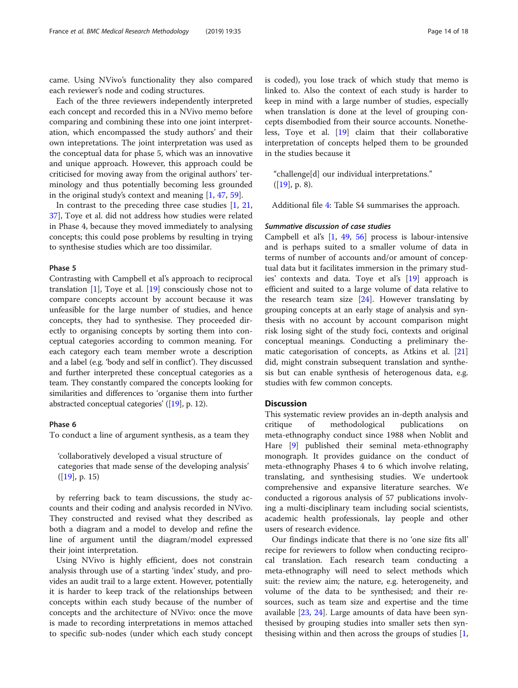came. Using NVivo's functionality they also compared each reviewer's node and coding structures.

Each of the three reviewers independently interpreted each concept and recorded this in a NVivo memo before comparing and combining these into one joint interpretation, which encompassed the study authors' and their own intepretations. The joint interpretation was used as the conceptual data for phase 5, which was an innovative and unique approach. However, this approach could be criticised for moving away from the original authors' terminology and thus potentially becoming less grounded in the original study's context and meaning [[1,](#page-16-0) [47,](#page-17-0) [59\]](#page-17-0).

In contrast to the preceding three case studies [[1,](#page-16-0) [21](#page-16-0), [37\]](#page-17-0), Toye et al. did not address how studies were related in Phase 4, because they moved immediately to analysing concepts; this could pose problems by resulting in trying to synthesise studies which are too dissimilar.

#### Phase 5

Contrasting with Campbell et al's approach to reciprocal translation [\[1](#page-16-0)], Toye et al. [\[19](#page-16-0)] consciously chose not to compare concepts account by account because it was unfeasible for the large number of studies, and hence concepts, they had to synthesise. They proceeded directly to organising concepts by sorting them into conceptual categories according to common meaning. For each category each team member wrote a description and a label (e.g. 'body and self in conflict'). They discussed and further interpreted these conceptual categories as a team. They constantly compared the concepts looking for similarities and differences to 'organise them into further abstracted conceptual categories' ([[19](#page-16-0)], p. 12).

## Phase 6

To conduct a line of argument synthesis, as a team they

'collaboratively developed a visual structure of categories that made sense of the developing analysis'  $([19], p. 15)$  $([19], p. 15)$  $([19], p. 15)$ 

by referring back to team discussions, the study accounts and their coding and analysis recorded in NVivo. They constructed and revised what they described as both a diagram and a model to develop and refine the line of argument until the diagram/model expressed their joint interpretation.

Using NVivo is highly efficient, does not constrain analysis through use of a starting 'index' study, and provides an audit trail to a large extent. However, potentially it is harder to keep track of the relationships between concepts within each study because of the number of concepts and the architecture of NVivo: once the move is made to recording interpretations in memos attached to specific sub-nodes (under which each study concept is coded), you lose track of which study that memo is linked to. Also the context of each study is harder to keep in mind with a large number of studies, especially when translation is done at the level of grouping concepts disembodied from their source accounts. Nonetheless, Toye et al. [[19\]](#page-16-0) claim that their collaborative interpretation of concepts helped them to be grounded in the studies because it

"challenge[d] our individual interpretations."  $([19], p. 8).$  $([19], p. 8).$  $([19], p. 8).$ 

Additional file [4](#page-15-0): Table S4 summarises the approach.

## Summative discussion of case studies

Campbell et al's [[1,](#page-16-0) [49](#page-17-0), [56\]](#page-17-0) process is labour-intensive and is perhaps suited to a smaller volume of data in terms of number of accounts and/or amount of conceptual data but it facilitates immersion in the primary studies' contexts and data. Toye et al's [[19\]](#page-16-0) approach is efficient and suited to a large volume of data relative to the research team size  $[24]$  $[24]$ . However translating by grouping concepts at an early stage of analysis and synthesis with no account by account comparison might risk losing sight of the study foci, contexts and original conceptual meanings. Conducting a preliminary thematic categorisation of concepts, as Atkins et al. [[21](#page-16-0)] did, might constrain subsequent translation and synthesis but can enable synthesis of heterogenous data, e.g. studies with few common concepts.

## **Discussion**

This systematic review provides an in-depth analysis and critique of methodological publications on meta-ethnography conduct since 1988 when Noblit and Hare [[9](#page-16-0)] published their seminal meta-ethnography monograph. It provides guidance on the conduct of meta-ethnography Phases 4 to 6 which involve relating, translating, and synthesising studies. We undertook comprehensive and expansive literature searches. We conducted a rigorous analysis of 57 publications involving a multi-disciplinary team including social scientists, academic health professionals, lay people and other users of research evidence.

Our findings indicate that there is no 'one size fits all' recipe for reviewers to follow when conducting reciprocal translation. Each research team conducting a meta-ethnography will need to select methods which suit: the review aim; the nature, e.g. heterogeneity, and volume of the data to be synthesised; and their resources, such as team size and expertise and the time available [\[23,](#page-16-0) [24](#page-16-0)]. Large amounts of data have been synthesised by grouping studies into smaller sets then synthesising within and then across the groups of studies [\[1](#page-16-0),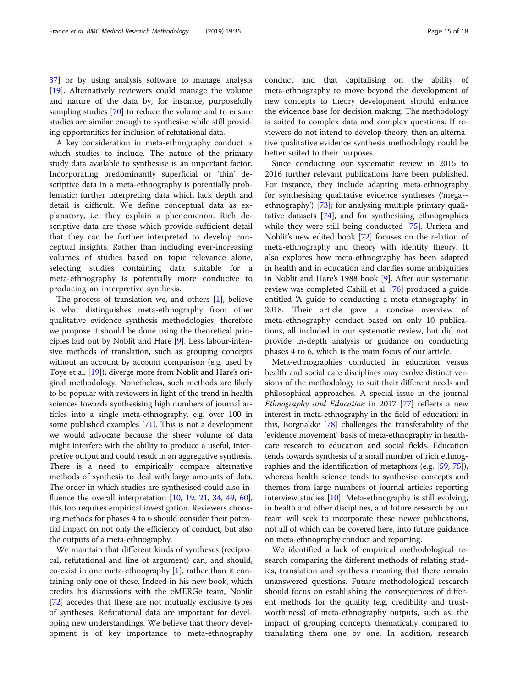[37\]](#page-17-0) or by using analysis software to manage analysis [[19\]](#page-16-0). Alternatively reviewers could manage the volume and nature of the data by, for instance, purposefully sampling studies [[70](#page-17-0)] to reduce the volume and to ensure studies are similar enough to synthesise while still providing opportunities for inclusion of refutational data.

A key consideration in meta-ethnography conduct is which studies to include. The nature of the primary study data available to synthesise is an important factor. Incorporating predominantly superficial or 'thin' descriptive data in a meta-ethnography is potentially problematic: further interpreting data which lack depth and detail is difficult. We define conceptual data as explanatory, i.e. they explain a phenomenon. Rich descriptive data are those which provide sufficient detail that they can be further interpreted to develop conceptual insights. Rather than including ever-increasing volumes of studies based on topic relevance alone, selecting studies containing data suitable for a meta-ethnography is potentially more conducive to producing an interpretive synthesis.

The process of translation we, and others [\[1](#page-16-0)], believe is what distinguishes meta-ethnography from other qualitative evidence synthesis methodologies, therefore we propose it should be done using the theoretical principles laid out by Noblit and Hare [[9](#page-16-0)]. Less labour-intensive methods of translation, such as grouping concepts without an account by account comparison (e.g. used by Toye et al. [\[19](#page-16-0)]), diverge more from Noblit and Hare's original methodology. Nonetheless, such methods are likely to be popular with reviewers in light of the trend in health sciences towards synthesising high numbers of journal articles into a single meta-ethnography, e.g. over 100 in some published examples [\[71\]](#page-17-0). This is not a development we would advocate because the sheer volume of data might interfere with the ability to produce a useful, interpretive output and could result in an aggregative synthesis. There is a need to empirically compare alternative methods of synthesis to deal with large amounts of data. The order in which studies are synthesised could also influence the overall interpretation [\[10,](#page-16-0) [19](#page-16-0), [21,](#page-16-0) [34](#page-17-0), [49,](#page-17-0) [60](#page-17-0)], this too requires empirical investigation. Reviewers choosing methods for phases 4 to 6 should consider their potential impact on not only the efficiency of conduct, but also the outputs of a meta-ethnography.

We maintain that different kinds of syntheses (reciprocal, refutational and line of argument) can, and should, co-exist in one meta-ethnography  $[1]$  $[1]$ , rather than it containing only one of these. Indeed in his new book, which credits his discussions with the eMERGe team, Noblit [[72\]](#page-17-0) accedes that these are not mutually exclusive types of syntheses. Refutational data are important for developing new understandings. We believe that theory development is of key importance to meta-ethnography conduct and that capitalising on the ability of meta-ethnography to move beyond the development of new concepts to theory development should enhance the evidence base for decision making. The methodology is suited to complex data and complex questions. If reviewers do not intend to develop theory, then an alternative qualitative evidence synthesis methodology could be better suited to their purposes.

Since conducting our systematic review in 2015 to 2016 further relevant publications have been published. For instance, they include adapting meta-ethnography for synthesising qualitative evidence syntheses ('mega- ethnography') [[73](#page-17-0)]; for analysing multiple primary qualitative datasets [[74\]](#page-17-0), and for synthesising ethnographies while they were still being conducted [[75\]](#page-17-0). Urrieta and Noblit's new edited book [\[72](#page-17-0)] focuses on the relation of meta-ethnography and theory with identity theory. It also explores how meta-ethnography has been adapted in health and in education and clarifies some ambiguities in Noblit and Hare's 1988 book [\[9](#page-16-0)]. After our systematic review was completed Cahill et al. [\[76](#page-17-0)] produced a guide entitled 'A guide to conducting a meta-ethnography' in 2018. Their article gave a concise overview of meta-ethnography conduct based on only 10 publications, all included in our systematic review, but did not provide in-depth analysis or guidance on conducting phases 4 to 6, which is the main focus of our article.

Meta-ethnographies conducted in education versus health and social care disciplines may evolve distinct versions of the methodology to suit their different needs and philosophical approaches. A special issue in the journal Ethnography and Education in 2017 [\[77\]](#page-17-0) reflects a new interest in meta-ethnography in the field of education; in this, Borgnakke [[78](#page-17-0)] challenges the transferability of the 'evidence movement' basis of meta-ethnography in healthcare research to education and social fields. Education tends towards synthesis of a small number of rich ethnographies and the identification of metaphors (e.g. [[59](#page-17-0), [75](#page-17-0)]), whereas health science tends to synthesise concepts and themes from large numbers of journal articles reporting interview studies [[10](#page-16-0)]. Meta-ethnography is still evolving, in health and other disciplines, and future research by our team will seek to incorporate these newer publications, not all of which can be covered here, into future guidance on meta-ethnography conduct and reporting.

We identified a lack of empirical methodological research comparing the different methods of relating studies, translation and synthesis meaning that there remain unanswered questions. Future methodological research should focus on establishing the consequences of different methods for the quality (e.g. credibility and trustworthiness) of meta-ethnography outputs, such as, the impact of grouping concepts thematically compared to translating them one by one. In addition, research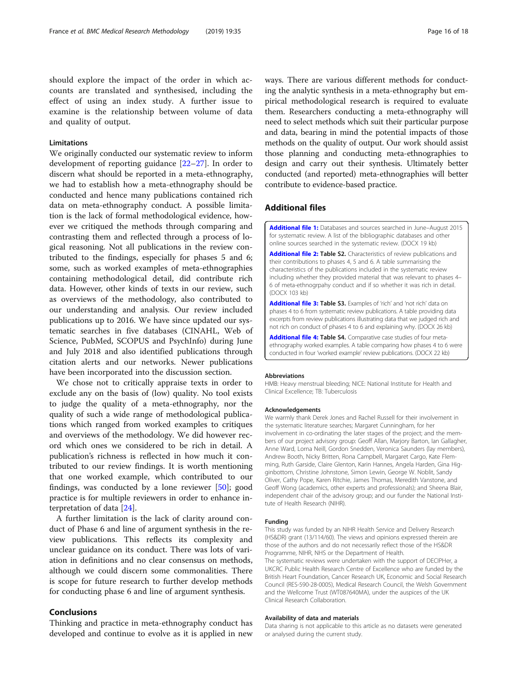<span id="page-15-0"></span>should explore the impact of the order in which accounts are translated and synthesised, including the effect of using an index study. A further issue to examine is the relationship between volume of data and quality of output.

## Limitations

We originally conducted our systematic review to inform development of reporting guidance [[22](#page-16-0)–[27](#page-16-0)]. In order to discern what should be reported in a meta-ethnography, we had to establish how a meta-ethnography should be conducted and hence many publications contained rich data on meta-ethnography conduct. A possible limitation is the lack of formal methodological evidence, however we critiqued the methods through comparing and contrasting them and reflected through a process of logical reasoning. Not all publications in the review contributed to the findings, especially for phases 5 and 6; some, such as worked examples of meta-ethnographies containing methodological detail, did contribute rich data. However, other kinds of texts in our review, such as overviews of the methodology, also contributed to our understanding and analysis. Our review included publications up to 2016. We have since updated our systematic searches in five databases (CINAHL, Web of Science, PubMed, SCOPUS and PsychInfo) during June and July 2018 and also identified publications through citation alerts and our networks. Newer publications have been incorporated into the discussion section.

We chose not to critically appraise texts in order to exclude any on the basis of (low) quality. No tool exists to judge the quality of a meta-ethnography, nor the quality of such a wide range of methodological publications which ranged from worked examples to critiques and overviews of the methodology. We did however record which ones we considered to be rich in detail. A publication's richness is reflected in how much it contributed to our review findings. It is worth mentioning that one worked example, which contributed to our findings, was conducted by a lone reviewer [[50\]](#page-17-0); good practice is for multiple reviewers in order to enhance interpretation of data [\[24](#page-16-0)].

A further limitation is the lack of clarity around conduct of Phase 6 and line of argument synthesis in the review publications. This reflects its complexity and unclear guidance on its conduct. There was lots of variation in definitions and no clear consensus on methods, although we could discern some commonalities. There is scope for future research to further develop methods for conducting phase 6 and line of argument synthesis.

## Conclusions

Thinking and practice in meta-ethnography conduct has developed and continue to evolve as it is applied in new ways. There are various different methods for conducting the analytic synthesis in a meta-ethnography but empirical methodological research is required to evaluate them. Researchers conducting a meta-ethnography will need to select methods which suit their particular purpose and data, bearing in mind the potential impacts of those methods on the quality of output. Our work should assist those planning and conducting meta-ethnographies to design and carry out their synthesis. Ultimately better conducted (and reported) meta-ethnographies will better contribute to evidence-based practice.

## Additional files

[Additional file 1:](https://doi.org/10.1186/s12874-019-0670-7) Databases and sources searched in June–August 2015 for systematic review. A list of the bibliographic databases and other online sources searched in the systematic review. (DOCX 19 kb)

[Additional file 2:](https://doi.org/10.1186/s12874-019-0670-7) Table S2. Characteristics of review publications and their contributions to phases 4, 5 and 6. A table summarising the characteristics of the publications included in the systematic review including whether they provided material that was relevant to phases 4– 6 of meta-ethnogrpahy conduct and if so whether it was rich in detail. (DOCX 103 kb)

[Additional file 3:](https://doi.org/10.1186/s12874-019-0670-7) Table S3. Examples of 'rich' and 'not rich' data on phases 4 to 6 from systematic review publications. A table providing data excerpts from review publications illustrating data that we judged rich and not rich on conduct of phases 4 to 6 and explaining why. (DOCX 26 kb)

[Additional file 4:](https://doi.org/10.1186/s12874-019-0670-7) Table S4. Comparative case studies of four metaethnography worked examples. A table comparing how phases 4 to 6 were conducted in four 'worked example' review publications. (DOCX 22 kb)

#### Abbreviations

HMB: Heavy menstrual bleeding; NICE: National Institute for Health and Clinical Excellence; TB: Tuberculosis

#### Acknowledgements

We warmly thank Derek Jones and Rachel Russell for their involvement in the systematic literature searches; Margaret Cunningham, for her involvement in co-ordinating the later stages of the project; and the members of our project advisory group: Geoff Allan, Marjory Barton, Ian Gallagher, Anne Ward, Lorna Neill, Gordon Snedden, Veronica Saunders (lay members), Andrew Booth, Nicky Britten, Rona Campbell, Margaret Cargo, Kate Flemming, Ruth Garside, Claire Glenton, Karin Hannes, Angela Harden, Gina Higginbottom, Christine Johnstone, Simon Lewin, George W. Noblit, Sandy Oliver, Cathy Pope, Karen Ritchie, James Thomas, Meredith Vanstone, and Geoff Wong (academics, other experts and professionals); and Sheena Blair, independent chair of the advisory group; and our funder the National Institute of Health Research (NIHR).

#### Funding

This study was funded by an NIHR Health Service and Delivery Research (HS&DR) grant (13/114/60). The views and opinions expressed therein are those of the authors and do not necessarily reflect those of the HS&DR Programme, NIHR, NHS or the Department of Health.

The systematic reviews were undertaken with the support of DECIPHer, a UKCRC Public Health Research Centre of Excellence who are funded by the British Heart Foundation, Cancer Research UK, Economic and Social Research Council (RES-590-28-0005), Medical Research Council, the Welsh Government and the Wellcome Trust (WT087640MA), under the auspices of the UK Clinical Research Collaboration.

#### Availability of data and materials

Data sharing is not applicable to this article as no datasets were generated or analysed during the current study.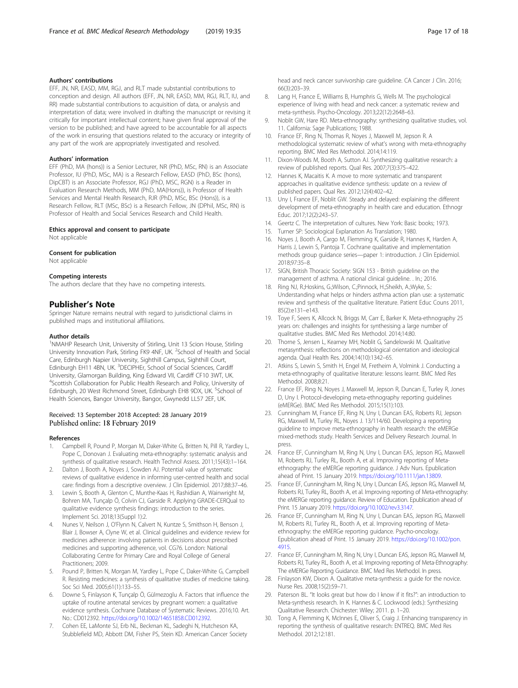## <span id="page-16-0"></span>Authors' contributions

EFF, JN, NR, EASD, MM, RGJ, and RLT made substantial contributions to conception and design. All authors (EFF, JN, NR, EASD, MM, RGJ, RLT, IU, and RR) made substantial contributions to acquisition of data, or analysis and interpretation of data; were involved in drafting the manuscript or revising it critically for important intellectual content; have given final approval of the version to be published; and have agreed to be accountable for all aspects of the work in ensuring that questions related to the accuracy or integrity of any part of the work are appropriately investigated and resolved.

#### Authors' information

EFF (PhD, MA (hons)) is a Senior Lecturer, NR (PhD, MSc, RN) is an Associate Professor, IU (PhD, MSc, MA) is a Research Fellow, EASD (PhD, BSc (hons), DipCBT) is an Associate Professor, RGJ (PhD, MSC, RGN) is a Reader in Evaluation Research Methods, MM (PhD, MA(Hons)), is Professor of Health Services and Mental Health Research, RJR (PhD, MSc, BSc (Hons)), is a Research Fellow, RLT (MSc, BSc) is a Research Fellow, JN (DPhil, MSc, RN) is Professor of Health and Social Services Research and Child Health.

## Ethics approval and consent to participate

Not applicable

## Consent for publication

Not applicable

#### Competing interests

The authors declare that they have no competing interests.

## Publisher's Note

Springer Nature remains neutral with regard to jurisdictional claims in published maps and institutional affiliations.

#### Author details

<sup>1</sup>NMAHP Research Unit, University of Stirling, Unit 13 Scion House, Stirling University Innovation Park, Stirling FK9 4NF, UK. <sup>2</sup>School of Health and Social Care, Edinburgh Napier University, Sighthill Campus, Sighthill Court, Edinburgh EH11 4BN, UK. <sup>3</sup>DECIPHEr, School of Social Sciences, Cardiff University, Glamorgan Building, King Edward VII, Cardiff CF10 3WT, UK. 4 Scottish Collaboration for Public Health Research and Policy, University of Edinburgh, 20 West Richmond Street, Edinburgh EH8 9DX, UK. <sup>5</sup>School of Health Sciences, Bangor University, Bangor, Gwynedd LL57 2EF, UK.

## Received: 13 September 2018 Accepted: 28 January 2019 Published online: 18 February 2019

#### References

- 1. Campbell R, Pound P, Morgan M, Daker-White G, Britten N, Pill R, Yardley L, Pope C, Donovan J. Evaluating meta-ethnography: systematic analysis and synthesis of qualitative research. Health Technol Assess. 2011;15(43):1–164.
- 2. Dalton J, Booth A, Noyes J, Sowden AJ. Potential value of systematic reviews of qualitative evidence in informing user-centred health and social care: findings from a descriptive overview. J Clin Epidemiol. 2017;88:37–46.
- Lewin S, Booth A, Glenton C, Munthe-Kaas H, Rashidian A, Wainwright M, Bohren MA, Tunçalp Ö, Colvin CJ, Garside R. Applying GRADE-CERQual to qualitative evidence synthesis findings: introduction to the series. Implement Sci. 2018;13(Suppl 1):2.
- 4. Nunes V, Neilson J, O'Flynn N, Calvert N, Kuntze S, Smithson H, Benson J, Blair J, Bowser A, Clyne W, et al. Clinical guidelines and evidence review for medicines adherence: involving patients in decisions about prescribed medicines and supporting adherence, vol. CG76. London: National Collaborating Centre for Primary Care and Royal College of General Practitioners; 2009.
- 5. Pound P, Britten N, Morgan M, Yardley L, Pope C, Daker-White G, Campbell R. Resisting medicines: a synthesis of qualitative studies of medicine taking. Soc Sci Med. 2005;61(1):133–55.
- 6. Downe S, Finlayson K, Tunçalp Ö, Gülmezoglu A. Factors that influence the uptake of routine antenatal services by pregnant women: a qualitative evidence synthesis. Cochrane Database of Systematic Reviews. 2016;10. Art. No.: CD012392. [https://doi.org/10.1002/14651858.CD012392.](https://doi.org/10.1002/14651858.CD012392)
- 7. Cohen EE, LaMonte SJ, Erb NL, Beckman KL, Sadeghi N, Hutcheson KA, Stubblefield MD, Abbott DM, Fisher PS, Stein KD. American Cancer Society

head and neck cancer survivorship care guideline. CA Cancer J Clin. 2016; 66(3):203–39.

- 8. Lang H, France E, Williams B, Humphris G, Wells M. The psychological experience of living with head and neck cancer: a systematic review and meta-synthesis. Psycho-Oncology. 2013;22(12):2648–63.
- 9. Noblit GW, Hare RD. Meta-ethnography: synthesizing qualitative studies, vol. 11. California: Sage Publications; 1988.
- 10. France EF, Ring N, Thomas R, Noyes J, Maxwell M, Jepson R. A methodological systematic review of what's wrong with meta-ethnography reporting. BMC Med Res Methodol. 2014;14:119.
- 11. Dixon-Woods M, Booth A, Sutton AJ. Synthesizing qualitative research: a review of published reports. Qual Res. 2007;7(3):375–422.
- 12. Hannes K, Macaitis K. A move to more systematic and transparent approaches in qualitative evidence synthesis: update on a review of published papers. Qual Res. 2012;12(4):402–42.
- 13. Uny I, France EF, Noblit GW. Steady and delayed: explaining the different development of meta-ethnography in health care and education. Ethnogr Educ. 2017;12(2):243–57.
- 14. Geertz C. The interpretation of cultures. New York: Basic books; 1973.
- 15. Turner SP: Sociological Explanation As Translation; 1980.
- 16. Noyes J, Booth A, Cargo M, Flemming K, Garside R, Hannes K, Harden A, Harris J, Lewin S, Pantoja T. Cochrane qualitative and implementation methods group guidance series—paper 1: introduction. J Clin Epidemiol. 2018;97:35–8.
- 17. SIGN, British Thoracic Society: SIGN 153 British guideline on the management of asthma. A national clinical guideline. . In.; 2016.
- 18. Ring NJ, R.;Hoskins, G.;Wilson, C.;Pinnock, H.;Sheikh, A.;Wyke, S.: Understanding what helps or hinders asthma action plan use: a systematic review and synthesis of the qualitative literature. Patient Educ Couns 2011, 85(2):e131–e143.
- 19. Toye F, Seers K, Allcock N, Briggs M, Carr E, Barker K. Meta-ethnography 25 years on: challenges and insights for synthesising a large number of qualitative studies. BMC Med Res Methodol. 2014;14:80.
- 20. Thorne S, Jensen L, Kearney MH, Noblit G, Sandelowski M. Qualitative metasynthesis: reflections on methodological orientation and ideological agenda. Qual Health Res. 2004;14(10):1342–65.
- 21. Atkins S, Lewin S, Smith H, Engel M, Fretheim A, Volmink J. Conducting a meta-ethnography of qualitative literature: lessons learnt. BMC Med Res Methodol. 2008;8:21.
- 22. France EF, Ring N, Noyes J, Maxwell M, Jepson R, Duncan E, Turley R, Jones D, Uny I. Protocol-developing meta-ethnography reporting guidelines (eMERGe). BMC Med Res Methodol. 2015;15(1):103.
- 23. Cunningham M, France EF, Ring N, Uny I, Duncan EAS, Roberts RJ, Jepson RG, Maxwell M, Turley RL, Noyes J. 13/114/60. Developing a reporting guideline to improve meta-ethnography in health research: the eMERGe mixed-methods study. Health Services and Delivery Research Journal. In press.
- 24. France EF, Cunningham M, Ring N, Uny I, Duncan EAS, Jepson RG, Maxwell M, Roberts RJ, Turley RL, Booth A, et al. Improving reporting of Metaethnography: the eMERGe reporting guidance. J Adv Nurs. Epublication ahead of Print. 15 January 2019. [https://doi.org/10.1111/jan.13809.](https://doi.org/10.1111/jan.13809)
- 25. France EF, Cunningham M, Ring N, Uny I, Duncan EAS, Jepson RG, Maxwell M, Roberts RJ, Turley RL, Booth A, et al. Improving reporting of Meta-ethnography: the eMERGe reporting guidance. Review of Education. Epublication ahead of Print. 15 January 2019. <https://doi.org/10.1002/rev3.3147>.
- 26. France EF, Cunningham M, Ring N, Uny I, Duncan EAS, Jepson RG, Maxwell M, Roberts RJ, Turley RL, Booth A, et al. Improving reporting of Metaethnography: the eMERGe reporting guidance. Psycho-oncology. Epublication ahead of Print. 15 January 2019. [https://doi.org/10.1002/pon.](https://doi.org/10.1002/pon.4915) [4915](https://doi.org/10.1002/pon.4915).
- 27. France EF, Cunningham M, Ring N, Uny I, Duncan EAS, Jepson RG, Maxwell M, Roberts RJ, Turley RL, Booth A, et al. Improving reporting of Meta-Ethnography: The eMERGe Reporting Guidance. BMC Med Res Methodol. In press.
- 28. Finlayson KW, Dixon A. Qualitative meta-synthesis: a guide for the novice. Nurse Res. 2008;15(2):59–71.
- 29. Paterson BL. "It looks great but how do I know if it fits?": an introduction to Meta-synthesis research. In K. Hannes & C. Lockwood (eds.): Synthesizing Qualitative Research. Chichester: Wiley; 2011. p. 1–20.
- 30. Tong A, Flemming K, McInnes E, Oliver S, Craig J. Enhancing transparency in reporting the synthesis of qualitative research: ENTREQ. BMC Med Res Methodol. 2012;12:181.